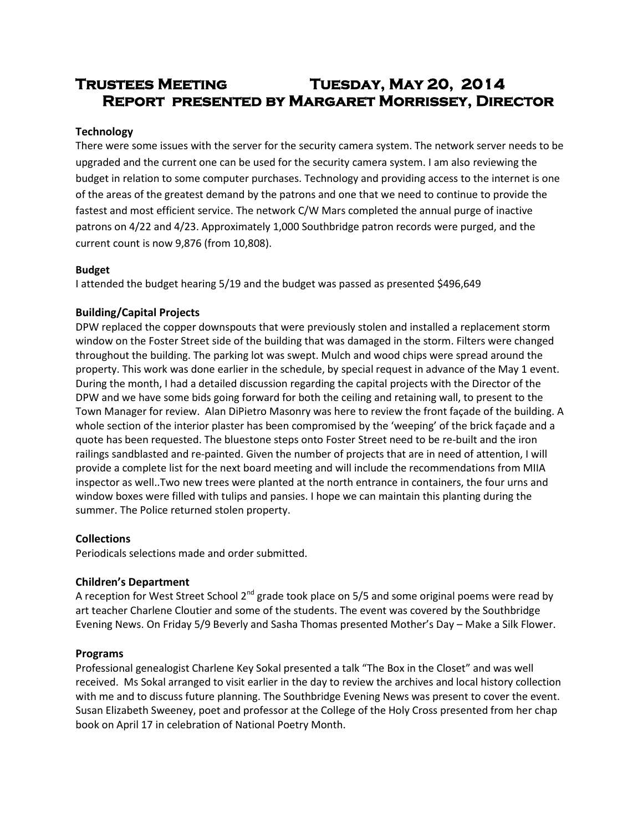# **Trustees Meeting Tuesday, May 20, 2014 Report presented by Margaret Morrissey, Director**

# **Technology**

There were some issues with the server for the security camera system. The network server needs to be upgraded and the current one can be used for the security camera system. I am also reviewing the budget in relation to some computer purchases. Technology and providing access to the internet is one of the areas of the greatest demand by the patrons and one that we need to continue to provide the fastest and most efficient service. The network C/W Mars completed the annual purge of inactive patrons on 4/22 and 4/23. Approximately 1,000 Southbridge patron records were purged, and the current count is now 9,876 (from 10,808).

## **Budget**

I attended the budget hearing 5/19 and the budget was passed as presented \$496,649

# **Building/Capital Projects**

DPW replaced the copper downspouts that were previously stolen and installed a replacement storm window on the Foster Street side of the building that was damaged in the storm. Filters were changed throughout the building. The parking lot was swept. Mulch and wood chips were spread around the property. This work was done earlier in the schedule, by special request in advance of the May 1 event. During the month, I had a detailed discussion regarding the capital projects with the Director of the DPW and we have some bids going forward for both the ceiling and retaining wall, to present to the Town Manager for review. Alan DiPietro Masonry was here to review the front façade of the building. A whole section of the interior plaster has been compromised by the 'weeping' of the brick façade and a quote has been requested. The bluestone steps onto Foster Street need to be re-built and the iron railings sandblasted and re-painted. Given the number of projects that are in need of attention, I will provide a complete list for the next board meeting and will include the recommendations from MIIA inspector as well..Two new trees were planted at the north entrance in containers, the four urns and window boxes were filled with tulips and pansies. I hope we can maintain this planting during the summer. The Police returned stolen property.

## **Collections**

Periodicals selections made and order submitted.

## **Children's Department**

A reception for West Street School  $2^{nd}$  grade took place on 5/5 and some original poems were read by art teacher Charlene Cloutier and some of the students. The event was covered by the Southbridge Evening News. On Friday 5/9 Beverly and Sasha Thomas presented Mother's Day – Make a Silk Flower.

## **Programs**

Professional genealogist Charlene Key Sokal presented a talk "The Box in the Closet" and was well received. Ms Sokal arranged to visit earlier in the day to review the archives and local history collection with me and to discuss future planning. The Southbridge Evening News was present to cover the event. Susan Elizabeth Sweeney, poet and professor at the College of the Holy Cross presented from her chap book on April 17 in celebration of National Poetry Month.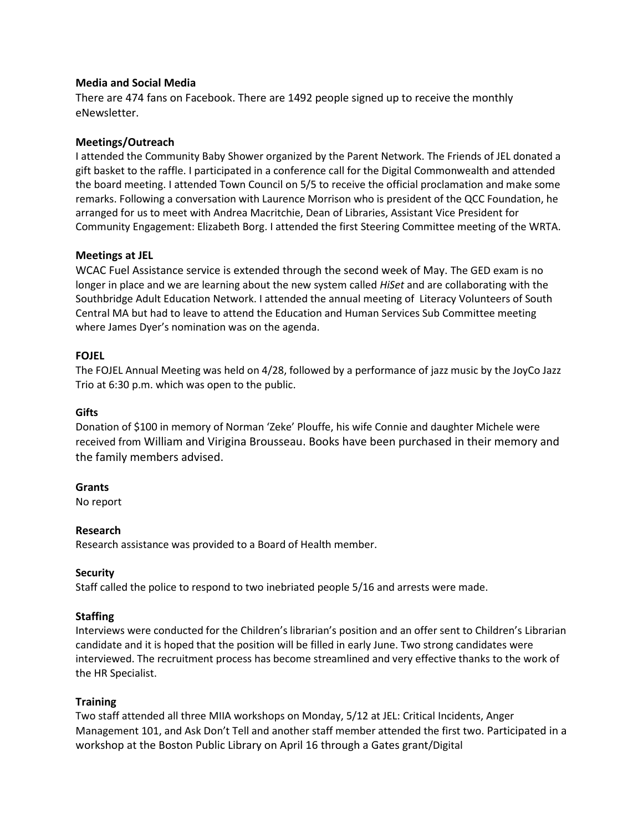## **Media and Social Media**

There are 474 fans on Facebook. There are 1492 people signed up to receive the monthly eNewsletter.

## **Meetings/Outreach**

I attended the Community Baby Shower organized by the Parent Network. The Friends of JEL donated a gift basket to the raffle. I participated in a conference call for the Digital Commonwealth and attended the board meeting. I attended Town Council on 5/5 to receive the official proclamation and make some remarks. Following a conversation with Laurence Morrison who is president of the QCC Foundation, he arranged for us to meet with Andrea Macritchie, Dean of Libraries, Assistant Vice President for Community Engagement: Elizabeth Borg. I attended the first Steering Committee meeting of the WRTA.

## **Meetings at JEL**

WCAC Fuel Assistance service is extended through the second week of May. The GED exam is no longer in place and we are learning about the new system called *HiSet* and are collaborating with the Southbridge Adult Education Network. I attended the annual meeting of Literacy Volunteers of South Central MA but had to leave to attend the Education and Human Services Sub Committee meeting where James Dyer's nomination was on the agenda.

# **FOJEL**

The FOJEL Annual Meeting was held on 4/28, followed by a performance of jazz music by the JoyCo Jazz Trio at 6:30 p.m. which was open to the public.

## **Gifts**

Donation of \$100 in memory of Norman 'Zeke' Plouffe, his wife Connie and daughter Michele were received from William and Virigina Brousseau. Books have been purchased in their memory and the family members advised.

## **Grants**

No report

## **Research**

Research assistance was provided to a Board of Health member.

## **Security**

Staff called the police to respond to two inebriated people 5/16 and arrests were made.

# **Staffing**

Interviews were conducted for the Children's librarian's position and an offer sent to Children's Librarian candidate and it is hoped that the position will be filled in early June. Two strong candidates were interviewed. The recruitment process has become streamlined and very effective thanks to the work of the HR Specialist.

## **Training**

Two staff attended all three MIIA workshops on Monday, 5/12 at JEL: Critical Incidents, Anger Management 101, and Ask Don't Tell and another staff member attended the first two. Participated in a workshop at the Boston Public Library on April 16 through a Gates grant/Digital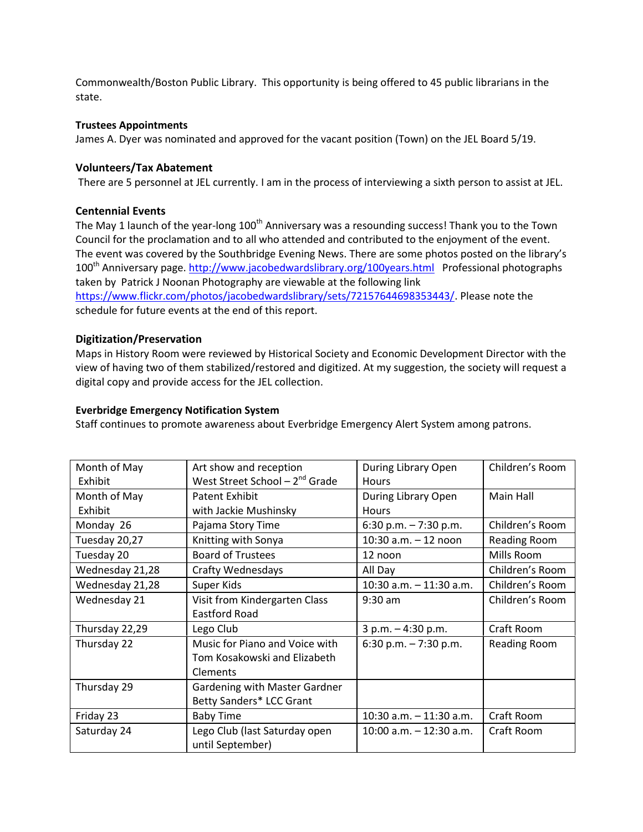Commonwealth/Boston Public Library. This opportunity is being offered to 45 public librarians in the state.

#### **Trustees Appointments**

James A. Dyer was nominated and approved for the vacant position (Town) on the JEL Board 5/19.

#### **Volunteers/Tax Abatement**

There are 5 personnel at JEL currently. I am in the process of interviewing a sixth person to assist at JEL.

#### **Centennial Events**

The May 1 launch of the year-long 100<sup>th</sup> Anniversary was a resounding success! Thank you to the Town Council for the proclamation and to all who attended and contributed to the enjoyment of the event. The event was covered by the Southbridge Evening News. There are some photos posted on the library's 100th Anniversary page.<http://www.jacobedwardslibrary.org/100years.html>Professional photographs taken by Patrick J Noonan Photography are viewable at the following link [https://www.flickr.com/photos/jacobedwardslibrary/sets/72157644698353443/.](https://www.flickr.com/photos/jacobedwardslibrary/sets/72157644698353443/) Please note the schedule for future events at the end of this report.

#### **Digitization/Preservation**

Maps in History Room were reviewed by Historical Society and Economic Development Director with the view of having two of them stabilized/restored and digitized. At my suggestion, the society will request a digital copy and provide access for the JEL collection.

#### **Everbridge Emergency Notification System**

Staff continues to promote awareness about Everbridge Emergency Alert System among patrons.

| Month of May    | Art show and reception             | During Library Open        | Children's Room     |
|-----------------|------------------------------------|----------------------------|---------------------|
| Exhibit         | West Street School $-2^{nd}$ Grade | <b>Hours</b>               |                     |
| Month of May    | Patent Exhibit                     | During Library Open        | Main Hall           |
| Exhibit         | with Jackie Mushinsky              | <b>Hours</b>               |                     |
| Monday 26       | Pajama Story Time                  | 6:30 p.m. $-7:30$ p.m.     | Children's Room     |
| Tuesday 20,27   | Knitting with Sonya                | 10:30 a.m. - 12 noon       | <b>Reading Room</b> |
| Tuesday 20      | <b>Board of Trustees</b>           | 12 noon                    | Mills Room          |
| Wednesday 21,28 | <b>Crafty Wednesdays</b>           | All Day                    | Children's Room     |
| Wednesday 21,28 | Super Kids                         | $10:30$ a.m. $-11:30$ a.m. | Children's Room     |
| Wednesday 21    | Visit from Kindergarten Class      | $9:30$ am                  | Children's Room     |
|                 | <b>Eastford Road</b>               |                            |                     |
| Thursday 22,29  | Lego Club                          | $3 p.m. - 4:30 p.m.$       | Craft Room          |
| Thursday 22     | Music for Piano and Voice with     | 6:30 p.m. $-7:30$ p.m.     | Reading Room        |
|                 | Tom Kosakowski and Elizabeth       |                            |                     |
|                 | <b>Clements</b>                    |                            |                     |
| Thursday 29     | Gardening with Master Gardner      |                            |                     |
|                 | Betty Sanders* LCC Grant           |                            |                     |
| Friday 23       | <b>Baby Time</b>                   | 10:30 a.m. $-$ 11:30 a.m.  | Craft Room          |
| Saturday 24     | Lego Club (last Saturday open      | $10:00$ a.m. $-12:30$ a.m. | Craft Room          |
|                 | until September)                   |                            |                     |